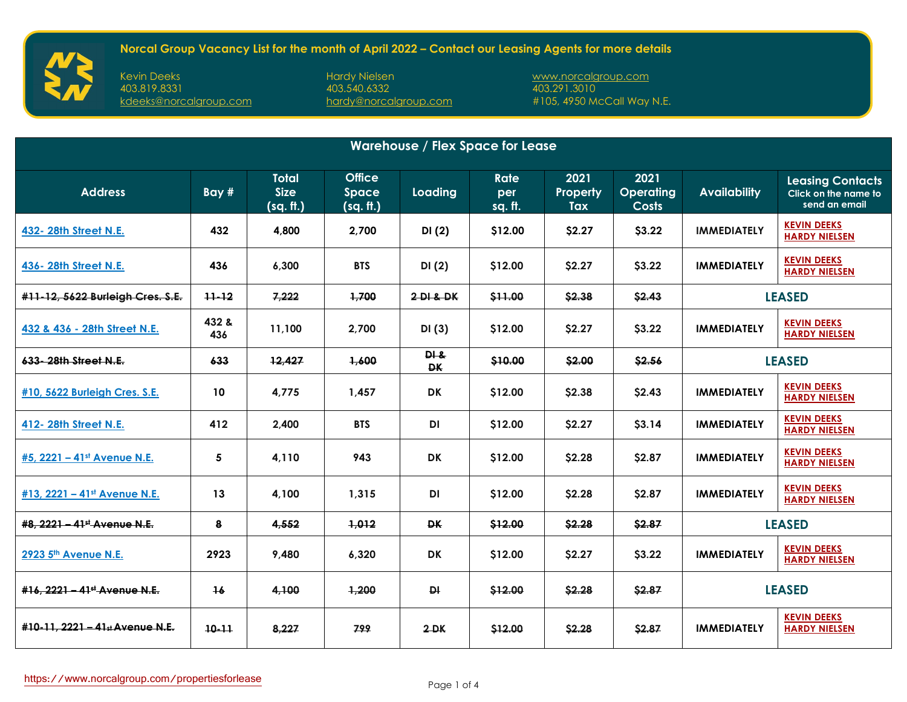Kevin Deeks Hardy Nielsen [www.norcalgroup.com](https://www.norcalgroup.com/)

[hardy@norcalgroup.com](mailto:hardy@norcalgroup.com)

| <b>Warehouse / Flex Space for Lease</b>  |              |                                          |                                     |                   |                               |                         |                                          |                     |                                                                  |
|------------------------------------------|--------------|------------------------------------------|-------------------------------------|-------------------|-------------------------------|-------------------------|------------------------------------------|---------------------|------------------------------------------------------------------|
| <b>Address</b>                           | Bay #        | <b>Total</b><br><b>Size</b><br>(sq. ft.) | <b>Office</b><br>Space<br>(sq. ft.) | Loading           | <b>Rate</b><br>per<br>sq. ft. | 2021<br>Property<br>Tax | 2021<br><b>Operating</b><br><b>Costs</b> | <b>Availability</b> | <b>Leasing Contacts</b><br>Click on the name to<br>send an email |
| 432- 28th Street N.E.                    | 432          | 4,800                                    | 2,700                               | DI(2)             | \$12.00                       | \$2.27                  | \$3.22                                   | <b>IMMEDIATELY</b>  | <b>KEVIN DEEKS</b><br><b>HARDY NIELSEN</b>                       |
| 436-28th Street N.E.                     | 436          | 6,300                                    | <b>BTS</b>                          | DI(2)             | \$12.00                       | \$2.27                  | \$3.22                                   | <b>IMMEDIATELY</b>  | <b>KEVIN DEEKS</b><br><b>HARDY NIELSEN</b>                       |
| #11-12, 5622 Burleigh Cres. S.E.         | $11 - 12$    | 7,222                                    | 1,700                               | 2DI & DK          | \$11.00                       | \$2.38                  | \$2.43                                   | <b>LEASED</b>       |                                                                  |
| 432 & 436 - 28th Street N.E.             | 432 &<br>436 | 11,100                                   | 2,700                               | DI(3)             | \$12.00                       | \$2.27                  | \$3.22                                   | <b>IMMEDIATELY</b>  | <b>KEVIN DEEKS</b><br><b>HARDY NIELSEN</b>                       |
| 633-28th Street N.E.                     | 633          | 12,427                                   | 1,600                               | PI &<br><b>DK</b> | \$10.00                       | \$2.00                  | \$2.56                                   | <b>LEASED</b>       |                                                                  |
| #10, 5622 Burleigh Cres. S.E.            | 10           | 4,775                                    | 1,457                               | <b>DK</b>         | \$12.00                       | \$2.38                  | \$2.43                                   | <b>IMMEDIATELY</b>  | <b>KEVIN DEEKS</b><br><b>HARDY NIELSEN</b>                       |
| 412- 28th Street N.E.                    | 412          | 2,400                                    | <b>BTS</b>                          | <b>DI</b>         | \$12.00                       | \$2.27                  | \$3.14                                   | <b>IMMEDIATELY</b>  | <b>KEVIN DEEKS</b><br><b>HARDY NIELSEN</b>                       |
| #5, 2221 - 41st Avenue N.E.              | 5            | 4,110                                    | 943                                 | <b>DK</b>         | \$12.00                       | \$2.28                  | \$2.87                                   | <b>IMMEDIATELY</b>  | <b>KEVIN DEEKS</b><br><b>HARDY NIELSEN</b>                       |
| #13, 2221 - 41st Avenue N.E.             | 13           | 4,100                                    | 1,315                               | DI                | \$12.00                       | \$2.28                  | \$2.87                                   | <b>IMMEDIATELY</b>  | <b>KEVIN DEEKS</b><br><b>HARDY NIELSEN</b>                       |
| #8. 2221 - 41 <sup>st</sup> Avenue N.E.  | 8            | 4,552                                    | 1,012                               | <b>DK</b>         | \$12.00                       | \$2.28                  | \$2.87                                   | <b>LEASED</b>       |                                                                  |
| 2923 5th Avenue N.E.                     | 2923         | 9,480                                    | 6,320                               | <b>DK</b>         | \$12.00                       | \$2.27                  | \$3.22                                   | <b>IMMEDIATELY</b>  | <b>KEVIN DEEKS</b><br><b>HARDY NIELSEN</b>                       |
| #16, 2221 - 41 <sup>st</sup> Avenue N.E. | 16           | 4,100                                    | 1,200                               | <b>DI</b>         | \$12.00                       | \$2.28                  | \$2.87                                   | <b>LEASED</b>       |                                                                  |
| #10-11, 2221 - 41st Avenue N.E.          | $10 - 11$    | 8,227                                    | 799                                 | $2 - DK$          | \$12.00                       | \$2.28                  | \$2.87                                   | <b>IMMEDIATELY</b>  | <b>KEVIN DEEKS</b><br><b>HARDY NIELSEN</b>                       |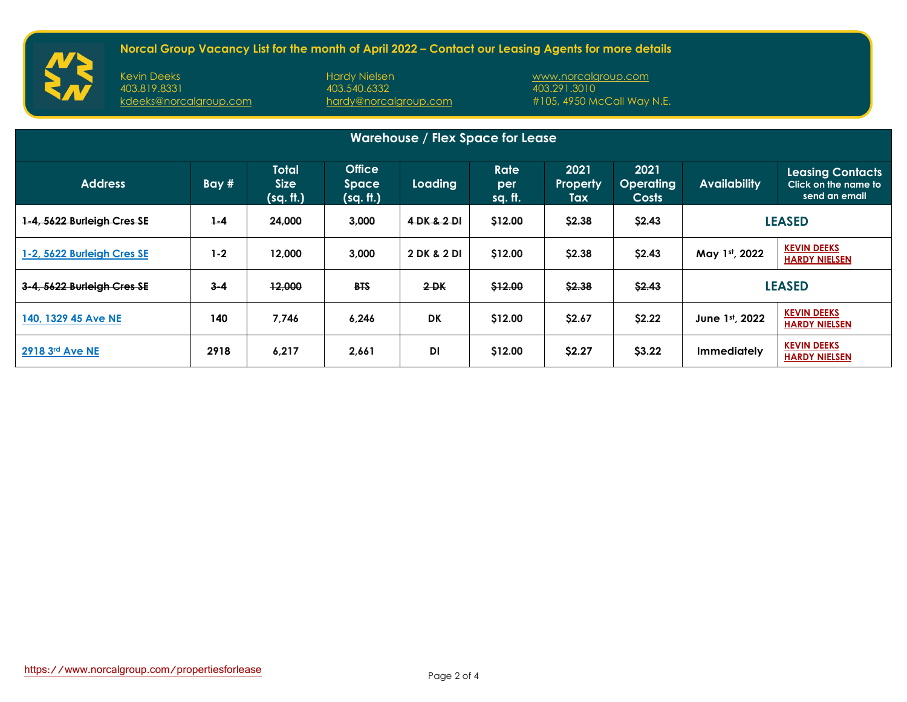Kevin Deeks Hardy Nielsen [www.norcalgroup.com](https://www.norcalgroup.com/)

[hardy@norcalgroup.com](mailto:hardy@norcalgroup.com)

| <b>Warehouse / Flex Space for Lease</b> |         |                                   |                                            |             |                               |                         |                                   |                     |                                                                  |
|-----------------------------------------|---------|-----------------------------------|--------------------------------------------|-------------|-------------------------------|-------------------------|-----------------------------------|---------------------|------------------------------------------------------------------|
| <b>Address</b>                          | Bay#    | Total<br><b>Size</b><br>(sq. ft.) | <b>Office</b><br><b>Space</b><br>(sq. ft.) | Loading     | <b>Rate</b><br>per<br>sq. ft. | 2021<br>Property<br>Tax | 2021<br><b>Operating</b><br>Costs | <b>Availability</b> | <b>Leasing Contacts</b><br>Click on the name to<br>send an email |
| 1-4, 5622 Burleigh Cres SE              | $1 - 4$ | 24,000                            | 3,000                                      | 4 DK & 2 DI | \$12.00                       | \$2.38                  | \$2.43                            | <b>LEASED</b>       |                                                                  |
| 1-2, 5622 Burleigh Cres SE              | $1 - 2$ | 12,000                            | 3,000                                      | 2 DK & 2 DI | \$12.00                       | \$2.38                  | \$2.43                            | May 1st, 2022       | <b>KEVIN DEEKS</b><br><b>HARDY NIELSEN</b>                       |
| 3-4, 5622 Burleigh Cres SE              | $3 - 4$ | 12,000                            | <b>BTS</b>                                 | $2 - DK$    | \$12.00                       | \$2.38                  | \$2.43                            | <b>LEASED</b>       |                                                                  |
| 140, 1329 45 Ave NE                     | 140     | 7.746                             | 6,246                                      | <b>DK</b>   | \$12.00                       | \$2.67                  | \$2.22                            | June 1st, 2022      | <b>KEVIN DEEKS</b><br><b>HARDY NIELSEN</b>                       |
| 2918 3rd Ave NE                         | 2918    | 6,217                             | 2,661                                      | <b>DI</b>   | \$12.00                       | \$2.27                  | \$3.22                            | <b>Immediately</b>  | <b>KEVIN DEEKS</b><br><b>HARDY NIELSEN</b>                       |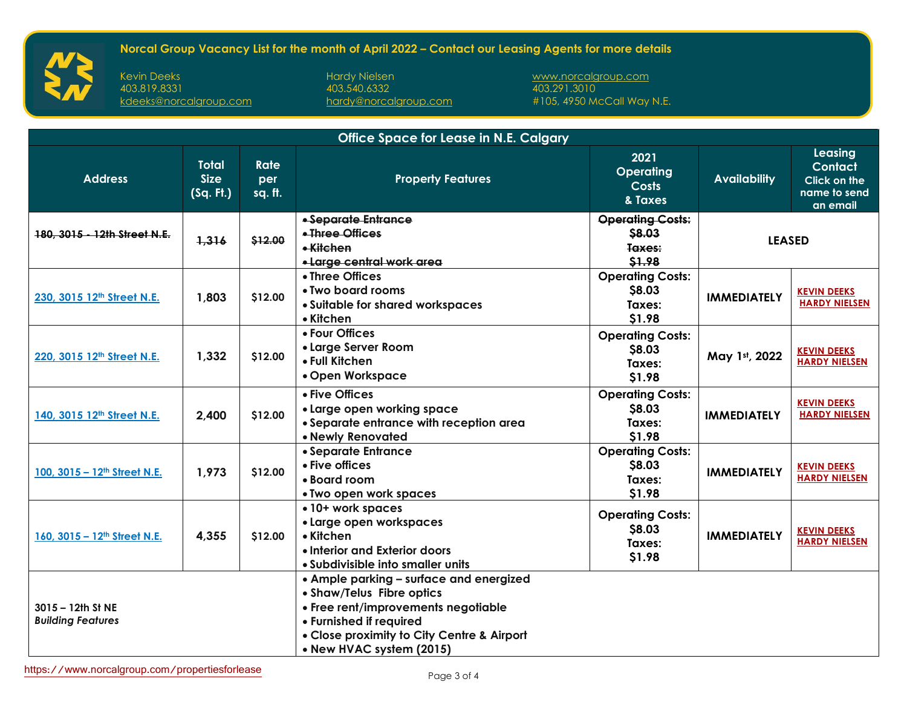Kevin Deeks Hardy Nielsen [www.norcalgroup.com](https://www.norcalgroup.com/)

[hardy@norcalgroup.com](mailto:hardy@norcalgroup.com)

| <b>Office Space for Lease in N.E. Calgary</b> |                                          |                               |                                                                                                                                                                                                                  |                                                             |                     |                                                                |  |  |
|-----------------------------------------------|------------------------------------------|-------------------------------|------------------------------------------------------------------------------------------------------------------------------------------------------------------------------------------------------------------|-------------------------------------------------------------|---------------------|----------------------------------------------------------------|--|--|
| <b>Address</b>                                | <b>Total</b><br><b>Size</b><br>(Sq. Ft.) | <b>Rate</b><br>per<br>sq. ft. | <b>Property Features</b>                                                                                                                                                                                         | 2021<br><b>Operating</b><br><b>Costs</b><br>& Taxes         | <b>Availability</b> | Leasing<br>Contact<br>Click on the<br>name to send<br>an email |  |  |
| 180, 3015 - 12th Street N.E.                  | 1,316                                    | \$12.00                       | • Separate Entrance<br>• Three Offices<br>• Kitchen<br>• Large central work area                                                                                                                                 | <b>Operating Costs:</b><br>\$8.03<br>Taxes:<br>\$1.98       | <b>LEASED</b>       |                                                                |  |  |
| 230, 3015 12th Street N.E.                    | 1,803                                    | \$12.00                       | • Three Offices<br>• Two board rooms<br>• Suitable for shared workspaces<br>• Kitchen                                                                                                                            | <b>Operating Costs:</b><br><b>S8.03</b><br>Taxes:<br>\$1.98 | <b>IMMEDIATELY</b>  | <b>KEVIN DEEKS</b><br><b>HARDY NIELSEN</b>                     |  |  |
| 220, 3015 12th Street N.E.                    | 1,332                                    | \$12.00                       | • Four Offices<br>• Large Server Room<br>• Full Kitchen<br>• Open Workspace                                                                                                                                      | <b>Operating Costs:</b><br>\$8.03<br>Taxes:<br>\$1.98       | May 1st, 2022       | <b>KEVIN DEEKS</b><br><b>HARDY NIELSEN</b>                     |  |  |
| 140, 3015 12th Street N.E.                    | 2,400                                    | \$12.00                       | • Five Offices<br>• Large open working space<br>• Separate entrance with reception area<br>• Newly Renovated                                                                                                     | <b>Operating Costs:</b><br>\$8.03<br>Taxes:<br>\$1.98       | <b>IMMEDIATELY</b>  | <b>KEVIN DEEKS</b><br><b>HARDY NIELSEN</b>                     |  |  |
| 100, 3015 - 12 <sup>th</sup> Street N.E.      | 1,973                                    | \$12.00                       | • Separate Entrance<br>• Five offices<br>• Board room<br>• Two open work spaces                                                                                                                                  | <b>Operating Costs:</b><br>\$8.03<br>Taxes:<br>\$1.98       | <b>IMMEDIATELY</b>  | <b>KEVIN DEEKS</b><br><b>HARDY NIELSEN</b>                     |  |  |
| 160, 3015 - 12th Street N.E.                  | 4,355                                    | \$12.00                       | • 10+ work spaces<br>• Large open workspaces<br>• Kitchen<br>• Interior and Exterior doors<br>• Subdivisible into smaller units                                                                                  | <b>Operating Costs:</b><br>\$8.03<br>Taxes:<br>\$1.98       | <b>IMMEDIATELY</b>  | <b>KEVIN DEEKS</b><br><b>HARDY NIELSEN</b>                     |  |  |
| 3015 - 12th St NE<br><b>Building Features</b> |                                          |                               | • Ample parking - surface and energized<br>• Shaw/Telus Fibre optics<br>• Free rent/improvements negotiable<br>• Furnished if required<br>• Close proximity to City Centre & Airport<br>• New HVAC system (2015) |                                                             |                     |                                                                |  |  |